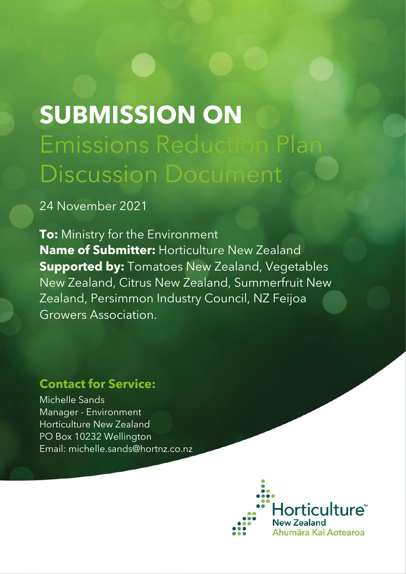# **SUBMISSION ON** Emissions Reduction Plan Discussion Document

24 November 2021

**To:** Ministry for the Environment **Name of Submitter:** Horticulture New Zealand **Supported by:** Tomatoes New Zealand, Vegetables New Zealand, Citrus New Zealand, Summerfruit New Zealand, Persimmon Industry Council, NZ Feijoa Growers Association.

# **Contact for Service:**

Michelle Sands Manager - Environment Horticulture New Zealand PO Box 10232 Wellington Email: michelle.sands@hortnz.co.nz

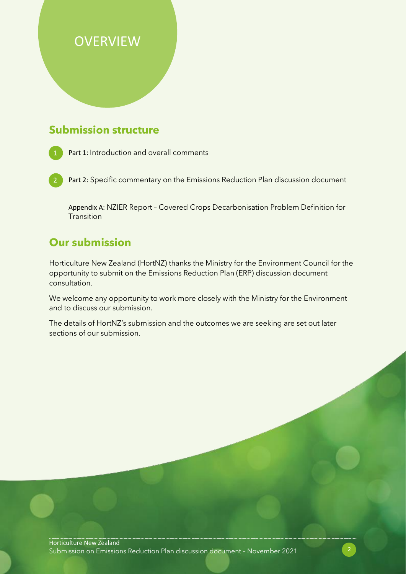# **OVERVIEW**

## **Submission structure**

Part 1: Introduction and overall comments

2 Part 2: Specific commentary on the Emissions Reduction Plan discussion document

Appendix A: NZIER Report – Covered Crops Decarbonisation Problem Definition for **Transition** 

## **Our submission**

Horticulture New Zealand (HortNZ) thanks the Ministry for the Environment Council for the opportunity to submit on the Emissions Reduction Plan (ERP) discussion document consultation.

We welcome any opportunity to work more closely with the Ministry for the Environment and to discuss our submission.

The details of HortNZ's submission and the outcomes we are seeking are set out later sections of our submission.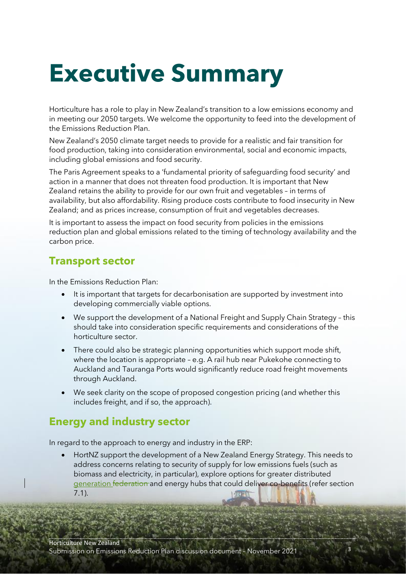# **Executive Summary**

Horticulture has a role to play in New Zealand's transition to a low emissions economy and in meeting our 2050 targets. We welcome the opportunity to feed into the development of the Emissions Reduction Plan.

New Zealand's 2050 climate target needs to provide for a realistic and fair transition for food production, taking into consideration environmental, social and economic impacts, including global emissions and food security.

The Paris Agreement speaks to a 'fundamental priority of safeguarding food security' and action in a manner that does not threaten food production. It is important that New Zealand retains the ability to provide for our own fruit and vegetables – in terms of availability, but also affordability. Rising produce costs contribute to food insecurity in New Zealand; and as prices increase, consumption of fruit and vegetables decreases.

It is important to assess the impact on food security from policies in the emissions reduction plan and global emissions related to the timing of technology availability and the carbon price.

## **Transport sector**

In the Emissions Reduction Plan:

- It is important that targets for decarbonisation are supported by investment into developing commercially viable options.
- We support the development of a National Freight and Supply Chain Strategy this should take into consideration specific requirements and considerations of the horticulture sector.
- There could also be strategic planning opportunities which support mode shift, where the location is appropriate – e.g. A rail hub near Pukekohe connecting to Auckland and Tauranga Ports would significantly reduce road freight movements through Auckland.
- We seek clarity on the scope of proposed congestion pricing (and whether this includes freight, and if so, the approach).

## **Energy and industry sector**

In regard to the approach to energy and industry in the ERP:

• HortNZ support the development of a New Zealand Energy Strategy. This needs to address concerns relating to security of supply for low emissions fuels (such as biomass and electricity, in particular), explore options for greater distributed generation federation and energy hubs that could deliver co-benefits (refer section 7.1).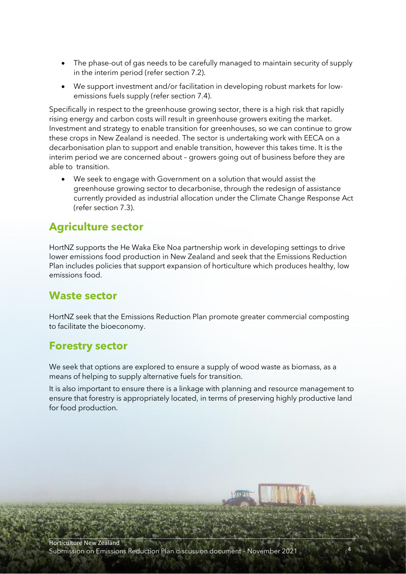- The phase-out of gas needs to be carefully managed to maintain security of supply in the interim period (refer section 7.2).
- We support investment and/or facilitation in developing robust markets for lowemissions fuels supply (refer section 7.4).

Specifically in respect to the greenhouse growing sector, there is a high risk that rapidly rising energy and carbon costs will result in greenhouse growers exiting the market. Investment and strategy to enable transition for greenhouses, so we can continue to grow these crops in New Zealand is needed. The sector is undertaking work with EECA on a decarbonisation plan to support and enable transition, however this takes time. It is the interim period we are concerned about – growers going out of business before they are able to transition.

• We seek to engage with Government on a solution that would assist the greenhouse growing sector to decarbonise, through the redesign of assistance currently provided as industrial allocation under the Climate Change Response Act (refer section 7.3).

## **Agriculture sector**

HortNZ supports the He Waka Eke Noa partnership work in developing settings to drive lower emissions food production in New Zealand and seek that the Emissions Reduction Plan includes policies that support expansion of horticulture which produces healthy, low emissions food.

## **Waste sector**

HortNZ seek that the Emissions Reduction Plan promote greater commercial composting to facilitate the bioeconomy.

## **Forestry sector**

We seek that options are explored to ensure a supply of wood waste as biomass, as a means of helping to supply alternative fuels for transition.

It is also important to ensure there is a linkage with planning and resource management to ensure that forestry is appropriately located, in terms of preserving highly productive land for food production.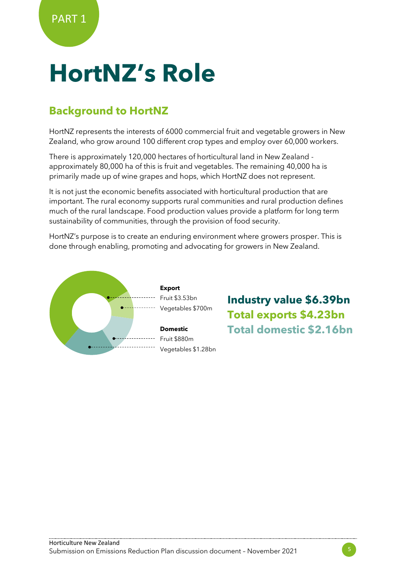# **HortNZ's Role**

# **Background to HortNZ**

HortNZ represents the interests of 6000 commercial fruit and vegetable growers in New Zealand, who grow around 100 different crop types and employ over 60,000 workers.

There is approximately 120,000 hectares of horticultural land in New Zealand approximately 80,000 ha of this is fruit and vegetables. The remaining 40,000 ha is primarily made up of wine grapes and hops, which HortNZ does not represent.

It is not just the economic benefits associated with horticultural production that are important. The rural economy supports rural communities and rural production defines much of the rural landscape. Food production values provide a platform for long term sustainability of communities, through the provision of food security.

HortNZ's purpose is to create an enduring environment where growers prosper. This is done through enabling, promoting and advocating for growers in New Zealand.



**Industry value \$6.39bn Total exports \$4.23bn Total domestic \$2.16bn**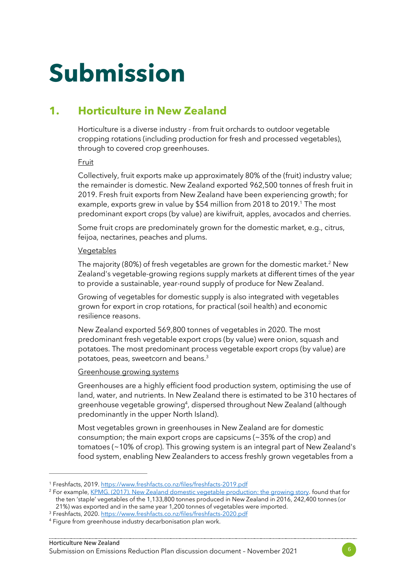# **Submission**

## **1. Horticulture in New Zealand**

Horticulture is a diverse industry - from fruit orchards to outdoor vegetable cropping rotations (including production for fresh and processed vegetables), through to covered crop greenhouses.

#### Fruit

Collectively, fruit exports make up approximately 80% of the (fruit) industry value; the remainder is domestic. New Zealand exported 962,500 tonnes of fresh fruit in 2019. Fresh fruit exports from New Zealand have been experiencing growth; for example, exports grew in value by \$54 million from 2018 to 2019.<sup>1</sup> The most predominant export crops (by value) are kiwifruit, apples, avocados and cherries.

Some fruit crops are predominately grown for the domestic market, e.g., citrus, feijoa, nectarines, peaches and plums.

#### Vegetables

The majority (80%) of fresh vegetables are grown for the domestic market.<sup>2</sup> New Zealand's vegetable-growing regions supply markets at different times of the year to provide a sustainable, year-round supply of produce for New Zealand.

Growing of vegetables for domestic supply is also integrated with vegetables grown for export in crop rotations, for practical (soil health) and economic resilience reasons.

New Zealand exported 569,800 tonnes of vegetables in 2020. The most predominant fresh vegetable export crops (by value) were onion, squash and potatoes. The most predominant process vegetable export crops (by value) are potatoes, peas, sweetcorn and beans.<sup>3</sup>

#### Greenhouse growing systems

Greenhouses are a highly efficient food production system, optimising the use of land, water, and nutrients. In New Zealand there is estimated to be 310 hectares of greenhouse vegetable growing<sup>4</sup>, dispersed throughout New Zealand (although predominantly in the upper North Island).

Most vegetables grown in greenhouses in New Zealand are for domestic consumption; the main export crops are capsicums (~35% of the crop) and tomatoes (~10% of crop). This growing system is an integral part of New Zealand's food system, enabling New Zealanders to access freshly grown vegetables from a

<sup>1</sup> Freshfacts, 2019.<https://www.freshfacts.co.nz/files/freshfacts-2019.pdf>

<sup>2</sup> For example[, KPMG. \(2017\). New Zealand domestic vegetable production: the growing story.](https://www.hortnz.co.nz/assets/Environment/National-Env-Policy/JR-Reference-Documents-/KPMG-2017-NZ-domestic-vegeable-production-.pdf) found that for the ten 'staple' vegetables of the 1,133,800 tonnes produced in New Zealand in 2016, 242,400 tonnes (or

<sup>21%)</sup> was exported and in the same year 1,200 tonnes of vegetables were imported.

<sup>&</sup>lt;sup>3</sup> Freshfacts, 2020.<https://www.freshfacts.co.nz/files/freshfacts-2020.pdf> <sup>4</sup> Figure from greenhouse industry decarbonisation plan work.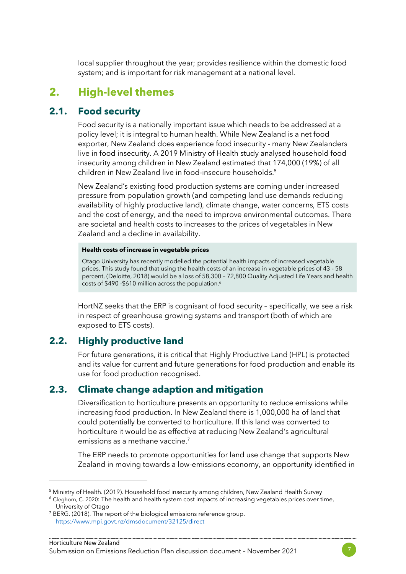local supplier throughout the year; provides resilience within the domestic food system; and is important for risk management at a national level.

## **2. High-level themes**

### **2.1. Food security**

Food security is a nationally important issue which needs to be addressed at a policy level; it is integral to human health. While New Zealand is a net food exporter, New Zealand does experience food insecurity - many New Zealanders live in food insecurity. A 2019 Ministry of Health study analysed household food insecurity among children in New Zealand estimated that 174,000 (19%) of all children in New Zealand live in food-insecure households.<sup>5</sup>

New Zealand's existing food production systems are coming under increased pressure from population growth (and competing land use demands reducing availability of highly productive land), climate change, water concerns, ETS costs and the cost of energy, and the need to improve environmental outcomes. There are societal and health costs to increases to the prices of vegetables in New Zealand and a decline in availability.

#### **Health costs of increase in vegetable prices**

Otago University has recently modelled the potential health impacts of increased vegetable prices. This study found that using the health costs of an increase in vegetable prices of 43 - 58 percent, (Deloitte, 2018) would be a loss of 58,300 – 72,800 Quality Adjusted Life Years and health costs of \$490 -\$610 million across the population. 6

HortNZ seeks that the ERP is cognisant of food security – specifically, we see a risk in respect of greenhouse growing systems and transport (both of which are exposed to ETS costs).

## **2.2. Highly productive land**

For future generations, it is critical that Highly Productive Land (HPL) is protected and its value for current and future generations for food production and enable its use for food production recognised.

### **2.3. Climate change adaption and mitigation**

Diversification to horticulture presents an opportunity to reduce emissions while increasing food production. In New Zealand there is 1,000,000 ha of land that could potentially be converted to horticulture. If this land was converted to horticulture it would be as effective at reducing New Zealand's agricultural emissions as a methane vaccine. 7

The ERP needs to promote opportunities for land use change that supports New Zealand in moving towards a low-emissions economy, an opportunity identified in

<sup>5</sup> Ministry of Health. (2019). Household food insecurity among children, New Zealand Health Survey

<sup>6</sup> Cleghorn, C. 2020: The health and health system cost impacts of increasing vegetables prices over time, University of Otago

<sup>&</sup>lt;sup>7</sup> BERG. (2018). The report of the biological emissions reference group. <https://www.mpi.govt.nz/dmsdocument/32125/direct>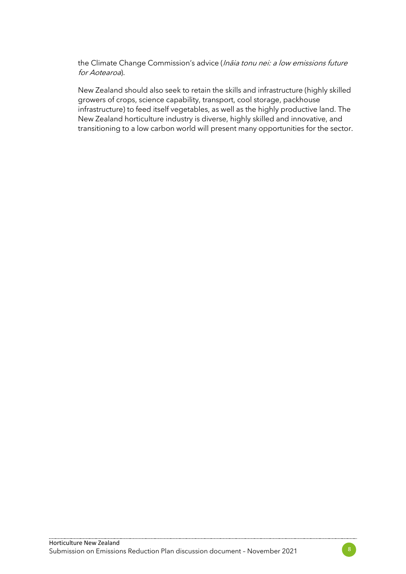the Climate Change Commission's advice (Inaia tonu nei: a low emissions future for Aotearoa).

New Zealand should also seek to retain the skills and infrastructure (highly skilled growers of crops, science capability, transport, cool storage, packhouse infrastructure) to feed itself vegetables, as well as the highly productive land. The New Zealand horticulture industry is diverse, highly skilled and innovative, and transitioning to a low carbon world will present many opportunities for the sector.

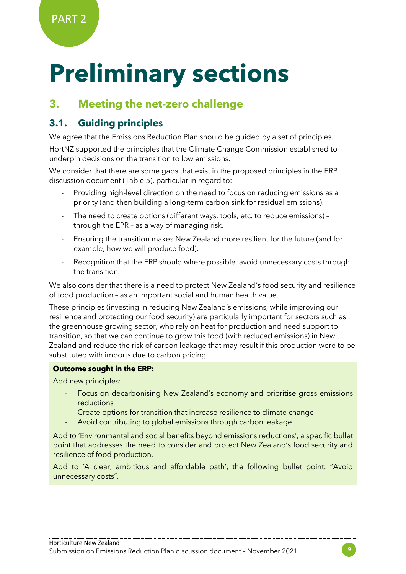# **Preliminary sections**

## **3. Meeting the net-zero challenge**

## **3.1. Guiding principles**

We agree that the Emissions Reduction Plan should be guided by a set of principles.

HortNZ supported the principles that the Climate Change Commission established to underpin decisions on the transition to low emissions.

We consider that there are some gaps that exist in the proposed principles in the ERP discussion document (Table 5), particular in regard to:

- Providing high-level direction on the need to focus on reducing emissions as a priority (and then building a long-term carbon sink for residual emissions).
- The need to create options (different ways, tools, etc. to reduce emissions) through the EPR – as a way of managing risk.
- Ensuring the transition makes New Zealand more resilient for the future (and for example, how we will produce food).
- Recognition that the ERP should where possible, avoid unnecessary costs through the transition.

We also consider that there is a need to protect New Zealand's food security and resilience of food production – as an important social and human health value.

These principles (investing in reducing New Zealand's emissions, while improving our resilience and protecting our food security) are particularly important for sectors such as the greenhouse growing sector, who rely on heat for production and need support to transition, so that we can continue to grow this food (with reduced emissions) in New Zealand and reduce the risk of carbon leakage that may result if this production were to be substituted with imports due to carbon pricing.

#### **Outcome sought in the ERP:**

Add new principles:

- Focus on decarbonising New Zealand's economy and prioritise gross emissions reductions
- Create options for transition that increase resilience to climate change
- Avoid contributing to global emissions through carbon leakage

Add to 'Environmental and social benefits beyond emissions reductions', a specific bullet point that addresses the need to consider and protect New Zealand's food security and resilience of food production.

Add to 'A clear, ambitious and affordable path', the following bullet point: "Avoid unnecessary costs".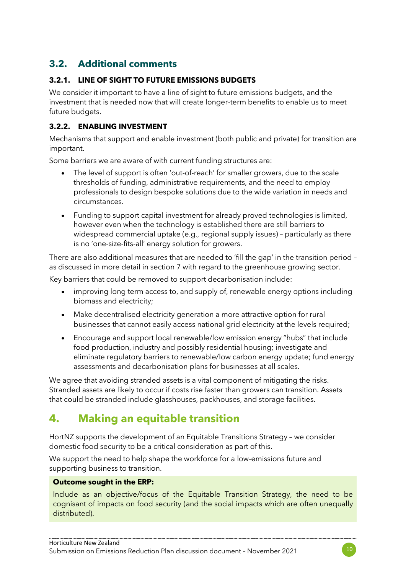## **3.2. Additional comments**

#### **3.2.1. LINE OF SIGHT TO FUTURE EMISSIONS BUDGETS**

We consider it important to have a line of sight to future emissions budgets, and the investment that is needed now that will create longer-term benefits to enable us to meet future budgets.

#### **3.2.2. ENABLING INVESTMENT**

Mechanisms that support and enable investment (both public and private) for transition are important.

Some barriers we are aware of with current funding structures are:

- The level of support is often 'out-of-reach' for smaller growers, due to the scale thresholds of funding, administrative requirements, and the need to employ professionals to design bespoke solutions due to the wide variation in needs and circumstances.
- Funding to support capital investment for already proved technologies is limited, however even when the technology is established there are still barriers to widespread commercial uptake (e.g., regional supply issues) – particularly as there is no 'one-size-fits-all' energy solution for growers.

There are also additional measures that are needed to 'fill the gap' in the transition period – as discussed in more detail in section 7 with regard to the greenhouse growing sector.

Key barriers that could be removed to support decarbonisation include:

- improving long term access to, and supply of, renewable energy options including biomass and electricity;
- Make decentralised electricity generation a more attractive option for rural businesses that cannot easily access national grid electricity at the levels required;
- Encourage and support local renewable/low emission energy "hubs" that include food production, industry and possibly residential housing; investigate and eliminate regulatory barriers to renewable/low carbon energy update; fund energy assessments and decarbonisation plans for businesses at all scales.

We agree that avoiding stranded assets is a vital component of mitigating the risks. Stranded assets are likely to occur if costs rise faster than growers can transition. Assets that could be stranded include glasshouses, packhouses, and storage facilities.

## **4. Making an equitable transition**

HortNZ supports the development of an Equitable Transitions Strategy – we consider domestic food security to be a critical consideration as part of this.

We support the need to help shape the workforce for a low-emissions future and supporting business to transition.

#### **Outcome sought in the ERP:**

Include as an objective/focus of the Equitable Transition Strategy, the need to be cognisant of impacts on food security (and the social impacts which are often unequally distributed).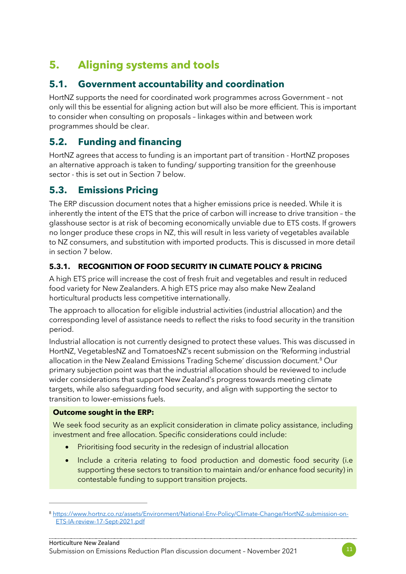# **5. Aligning systems and tools**

## **5.1. Government accountability and coordination**

HortNZ supports the need for coordinated work programmes across Government – not only will this be essential for aligning action but will also be more efficient. This is important to consider when consulting on proposals – linkages within and between work programmes should be clear.

## **5.2. Funding and financing**

HortNZ agrees that access to funding is an important part of transition - HortNZ proposes an alternative approach is taken to funding/ supporting transition for the greenhouse sector - this is set out in Section 7 below.

## **5.3. Emissions Pricing**

The ERP discussion document notes that a higher emissions price is needed. While it is inherently the intent of the ETS that the price of carbon will increase to drive transition – the glasshouse sector is at risk of becoming economically unviable due to ETS costs. If growers no longer produce these crops in NZ, this will result in less variety of vegetables available to NZ consumers, and substitution with imported products. This is discussed in more detail in section 7 below.

#### **5.3.1. RECOGNITION OF FOOD SECURITY IN CLIMATE POLICY & PRICING**

A high ETS price will increase the cost of fresh fruit and vegetables and result in reduced food variety for New Zealanders. A high ETS price may also make New Zealand horticultural products less competitive internationally.

The approach to allocation for eligible industrial activities (industrial allocation) and the corresponding level of assistance needs to reflect the risks to food security in the transition period.

Industrial allocation is not currently designed to protect these values. This was discussed in HortNZ, VegetablesNZ and TomatoesNZ's recent submission on the 'Reforming industrial allocation in the New Zealand Emissions Trading Scheme' discussion document.<sup>8</sup> Our primary subjection point was that the industrial allocation should be reviewed to include wider considerations that support New Zealand's progress towards meeting climate targets, while also safeguarding food security, and align with supporting the sector to transition to lower-emissions fuels.

#### **Outcome sought in the ERP:**

We seek food security as an explicit consideration in climate policy assistance, including investment and free allocation. Specific considerations could include:

- Prioritising food security in the redesign of industrial allocation
- Include a criteria relating to food production and domestic food security (i.e supporting these sectors to transition to maintain and/or enhance food security) in contestable funding to support transition projects.

<sup>8</sup> [https://www.hortnz.co.nz/assets/Environment/National-Env-Policy/Climate-Change/HortNZ-submission-on-](https://www.hortnz.co.nz/assets/Environment/National-Env-Policy/Climate-Change/HortNZ-submission-on-ETS-IA-review-17-Sept-2021.pdf)[ETS-IA-review-17-Sept-2021.pdf](https://www.hortnz.co.nz/assets/Environment/National-Env-Policy/Climate-Change/HortNZ-submission-on-ETS-IA-review-17-Sept-2021.pdf)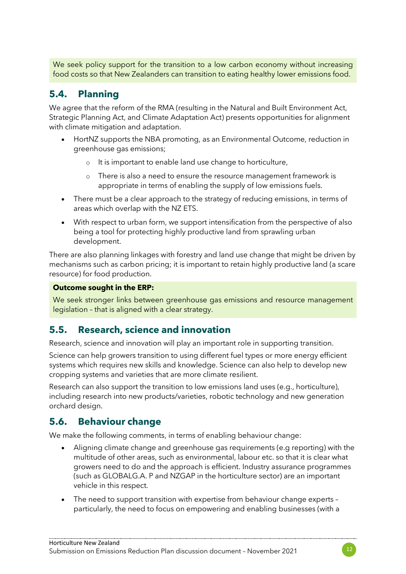We seek policy support for the transition to a low carbon economy without increasing food costs so that New Zealanders can transition to eating healthy lower emissions food.

## **5.4. Planning**

We agree that the reform of the RMA (resulting in the Natural and Built Environment Act, Strategic Planning Act, and Climate Adaptation Act) presents opportunities for alignment with climate mitigation and adaptation.

- HortNZ supports the NBA promoting, as an Environmental Outcome, reduction in greenhouse gas emissions;
	- o It is important to enable land use change to horticulture,
	- o There is also a need to ensure the resource management framework is appropriate in terms of enabling the supply of low emissions fuels.
- There must be a clear approach to the strategy of reducing emissions, in terms of areas which overlap with the NZ ETS.
- With respect to urban form, we support intensification from the perspective of also being a tool for protecting highly productive land from sprawling urban development.

There are also planning linkages with forestry and land use change that might be driven by mechanisms such as carbon pricing; it is important to retain highly productive land (a scare resource) for food production.

#### **Outcome sought in the ERP:**

We seek stronger links between greenhouse gas emissions and resource management legislation – that is aligned with a clear strategy.

## **5.5. Research, science and innovation**

Research, science and innovation will play an important role in supporting transition.

Science can help growers transition to using different fuel types or more energy efficient systems which requires new skills and knowledge. Science can also help to develop new cropping systems and varieties that are more climate resilient.

Research can also support the transition to low emissions land uses (e.g., horticulture), including research into new products/varieties, robotic technology and new generation orchard design.

## **5.6. Behaviour change**

We make the following comments, in terms of enabling behaviour change:

- Aligning climate change and greenhouse gas requirements (e.g reporting) with the multitude of other areas, such as environmental, labour etc. so that it is clear what growers need to do and the approach is efficient. Industry assurance programmes (such as GLOBALG.A. P and NZGAP in the horticulture sector) are an important vehicle in this respect.
- The need to support transition with expertise from behaviour change experts particularly, the need to focus on empowering and enabling businesses (with a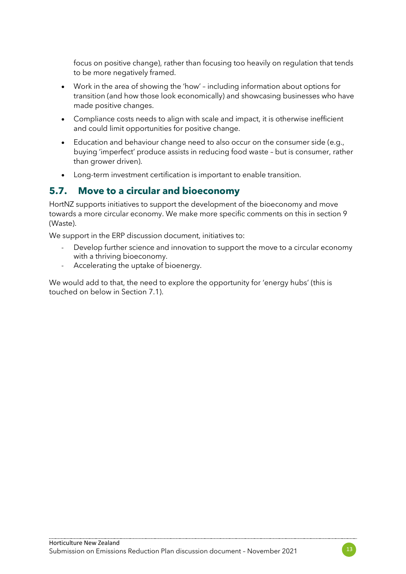focus on positive change), rather than focusing too heavily on regulation that tends to be more negatively framed.

- Work in the area of showing the 'how' including information about options for transition (and how those look economically) and showcasing businesses who have made positive changes.
- Compliance costs needs to align with scale and impact, it is otherwise inefficient and could limit opportunities for positive change.
- Education and behaviour change need to also occur on the consumer side (e.g., buying 'imperfect' produce assists in reducing food waste – but is consumer, rather than grower driven).
- Long-term investment certification is important to enable transition.

## **5.7. Move to a circular and bioeconomy**

HortNZ supports initiatives to support the development of the bioeconomy and move towards a more circular economy. We make more specific comments on this in section 9 (Waste).

We support in the ERP discussion document, initiatives to:

- Develop further science and innovation to support the move to a circular economy with a thriving bioeconomy.
- Accelerating the uptake of bioenergy.

We would add to that, the need to explore the opportunity for 'energy hubs' (this is touched on below in Section 7.1).

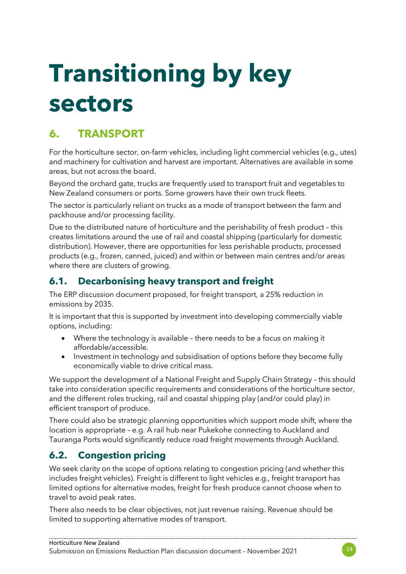# **Transitioning by key sectors**

# **6. TRANSPORT**

For the horticulture sector, on-farm vehicles, including light commercial vehicles (e.g., utes) and machinery for cultivation and harvest are important. Alternatives are available in some areas, but not across the board.

Beyond the orchard gate, trucks are frequently used to transport fruit and vegetables to New Zealand consumers or ports. Some growers have their own truck fleets.

The sector is particularly reliant on trucks as a mode of transport between the farm and packhouse and/or processing facility.

Due to the distributed nature of horticulture and the perishability of fresh product – this creates limitations around the use of rail and coastal shipping (particularly for domestic distribution). However, there are opportunities for less perishable products, processed products (e.g., frozen, canned, juiced) and within or between main centres and/or areas where there are clusters of growing.

## **6.1. Decarbonising heavy transport and freight**

The ERP discussion document proposed, for freight transport, a 25% reduction in emissions by 2035.

It is important that this is supported by investment into developing commercially viable options, including:

- Where the technology is available there needs to be a focus on making it affordable/accessible.
- Investment in technology and subsidisation of options before they become fully economically viable to drive critical mass.

We support the development of a National Freight and Supply Chain Strategy – this should take into consideration specific requirements and considerations of the horticulture sector, and the different roles trucking, rail and coastal shipping play (and/or could play) in efficient transport of produce.

There could also be strategic planning opportunities which support mode shift, where the location is appropriate – e.g. A rail hub near Pukekohe connecting to Auckland and Tauranga Ports would significantly reduce road freight movements through Auckland.

## **6.2. Congestion pricing**

We seek clarity on the scope of options relating to congestion pricing (and whether this includes freight vehicles). Freight is different to light vehicles e.g., freight transport has limited options for alternative modes, freight for fresh produce cannot choose when to travel to avoid peak rates.

There also needs to be clear objectives, not just revenue raising. Revenue should be limited to supporting alternative modes of transport.

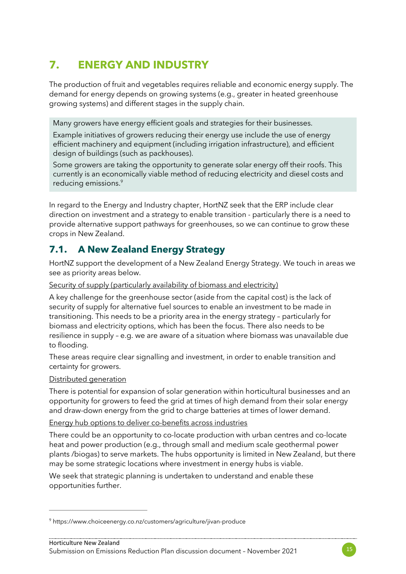# **7. ENERGY AND INDUSTRY**

The production of fruit and vegetables requires reliable and economic energy supply. The demand for energy depends on growing systems (e.g., greater in heated greenhouse growing systems) and different stages in the supply chain.

Many growers have energy efficient goals and strategies for their businesses.

Example initiatives of growers reducing their energy use include the use of energy efficient machinery and equipment (including irrigation infrastructure), and efficient design of buildings (such as packhouses).

Some growers are taking the opportunity to generate solar energy off their roofs. This currently is an economically viable method of reducing electricity and diesel costs and reducing emissions.9

In regard to the Energy and Industry chapter, HortNZ seek that the ERP include clear direction on investment and a strategy to enable transition - particularly there is a need to provide alternative support pathways for greenhouses, so we can continue to grow these crops in New Zealand.

## **7.1. A New Zealand Energy Strategy**

HortNZ support the development of a New Zealand Energy Strategy. We touch in areas we see as priority areas below.

Security of supply (particularly availability of biomass and electricity)

A key challenge for the greenhouse sector (aside from the capital cost) is the lack of security of supply for alternative fuel sources to enable an investment to be made in transitioning. This needs to be a priority area in the energy strategy – particularly for biomass and electricity options, which has been the focus. There also needs to be resilience in supply – e.g. we are aware of a situation where biomass was unavailable due to flooding.

These areas require clear signalling and investment, in order to enable transition and certainty for growers.

#### Distributed generation

There is potential for expansion of solar generation within horticultural businesses and an opportunity for growers to feed the grid at times of high demand from their solar energy and draw-down energy from the grid to charge batteries at times of lower demand.

Energy hub options to deliver co-benefits across industries

There could be an opportunity to co-locate production with urban centres and co-locate heat and power production (e.g., through small and medium scale geothermal power plants /biogas) to serve markets. The hubs opportunity is limited in New Zealand, but there may be some strategic locations where investment in energy hubs is viable.

We seek that strategic planning is undertaken to understand and enable these opportunities further.



<sup>9</sup> https://www.choiceenergy.co.nz/customers/agriculture/jivan-produce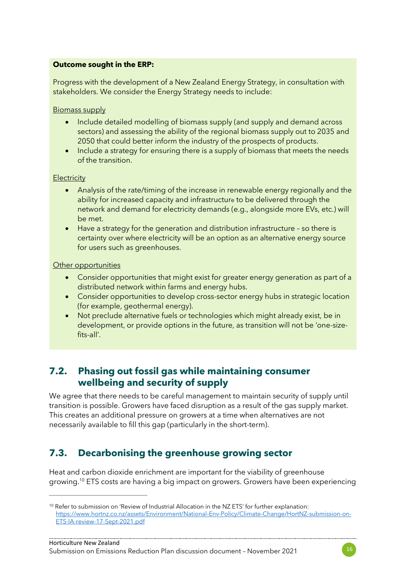#### **Outcome sought in the ERP:**

Progress with the development of a New Zealand Energy Strategy, in consultation with stakeholders. We consider the Energy Strategy needs to include:

Biomass supply

- Include detailed modelling of biomass supply (and supply and demand across sectors) and assessing the ability of the regional biomass supply out to 2035 and 2050 that could better inform the industry of the prospects of products.
- Include a strategy for ensuring there is a supply of biomass that meets the needs of the transition.

#### **Electricity**

- Analysis of the rate/timing of the increase in renewable energy regionally and the ability for increased capacity and infrastructure to be delivered through the network and demand for electricity demands (e.g., alongside more EVs, etc.) will be met.
- Have a strategy for the generation and distribution infrastructure so there is certainty over where electricity will be an option as an alternative energy source for users such as greenhouses.

#### Other opportunities

- Consider opportunities that might exist for greater energy generation as part of a distributed network within farms and energy hubs.
- Consider opportunities to develop cross-sector energy hubs in strategic location (for example, geothermal energy).
- Not preclude alternative fuels or technologies which might already exist, be in development, or provide options in the future, as transition will not be 'one-sizefits-all'.

## **7.2. Phasing out fossil gas while maintaining consumer wellbeing and security of supply**

We agree that there needs to be careful management to maintain security of supply until transition is possible. Growers have faced disruption as a result of the gas supply market. This creates an additional pressure on growers at a time when alternatives are not necessarily available to fill this gap (particularly in the short-term).

## **7.3. Decarbonising the greenhouse growing sector**

Heat and carbon dioxide enrichment are important for the viability of greenhouse growing.<sup>10</sup> ETS costs are having a big impact on growers. Growers have been experiencing



<sup>&</sup>lt;sup>10</sup> Refer to submission on 'Review of Industrial Allocation in the NZ ETS' for further explanation: [https://www.hortnz.co.nz/assets/Environment/National-Env-Policy/Climate-Change/HortNZ-submission-on-](https://www.hortnz.co.nz/assets/Environment/National-Env-Policy/Climate-Change/HortNZ-submission-on-ETS-IA-review-17-Sept-2021.pdf)[ETS-IA-review-17-Sept-2021.pdf](https://www.hortnz.co.nz/assets/Environment/National-Env-Policy/Climate-Change/HortNZ-submission-on-ETS-IA-review-17-Sept-2021.pdf)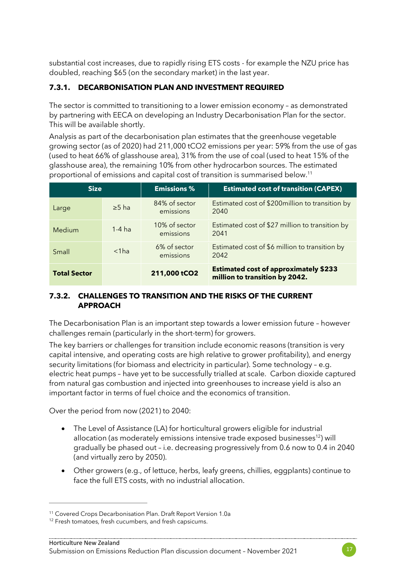substantial cost increases, due to rapidly rising ETS costs - for example the NZU price has doubled, reaching \$65 (on the secondary market) in the last year.

### **7.3.1. DECARBONISATION PLAN AND INVESTMENT REQUIRED**

The sector is committed to transitioning to a lower emission economy – as demonstrated by partnering with EECA on developing an Industry Decarbonisation Plan for the sector. This will be available shortly.

Analysis as part of the decarbonisation plan estimates that the greenhouse vegetable growing sector (as of 2020) had 211,000 tCO2 emissions per year: 59% from the use of gas (used to heat 66% of glasshouse area), 31% from the use of coal (used to heat 15% of the glasshouse area), the remaining 10% from other hydrocarbon sources. The estimated proportional of emissions and capital cost of transition is summarised below.<sup>11</sup>

| <b>Size</b>         |             | <b>Emissions %</b>         | <b>Estimated cost of transition (CAPEX)</b>                                    |  |  |
|---------------------|-------------|----------------------------|--------------------------------------------------------------------------------|--|--|
| Large               | $\geq$ 5 ha | 84% of sector<br>emissions | Estimated cost of \$200million to transition by<br>2040                        |  |  |
| <b>Medium</b>       | $1-4$ ha    | 10% of sector<br>emissions | Estimated cost of \$27 million to transition by<br>2041                        |  |  |
| Small               | $<$ 1 $ha$  | 6% of sector<br>emissions  | Estimated cost of \$6 million to transition by<br>2042                         |  |  |
| <b>Total Sector</b> |             | 211,000 tCO2               | <b>Estimated cost of approximately \$233</b><br>million to transition by 2042. |  |  |

#### **7.3.2. CHALLENGES TO TRANSITION AND THE RISKS OF THE CURRENT APPROACH**

The Decarbonisation Plan is an important step towards a lower emission future – however challenges remain (particularly in the short-term) for growers.

The key barriers or challenges for transition include economic reasons (transition is very capital intensive, and operating costs are high relative to grower profitability), and energy security limitations (for biomass and electricity in particular). Some technology – e.g. electric heat pumps – have yet to be successfully trialled at scale. Carbon dioxide captured from natural gas combustion and injected into greenhouses to increase yield is also an important factor in terms of fuel choice and the economics of transition.

Over the period from now (2021) to 2040:

- The Level of Assistance (LA) for horticultural growers eligible for industrial allocation (as moderately emissions intensive trade exposed businesses<sup>12</sup>) will gradually be phased out – i.e. decreasing progressively from 0.6 now to 0.4 in 2040 (and virtually zero by 2050).
- Other growers (e.g., of lettuce, herbs, leafy greens, chillies, eggplants) continue to face the full ETS costs, with no industrial allocation.



<sup>11</sup> Covered Crops Decarbonisation Plan. Draft Report Version 1.0a

<sup>&</sup>lt;sup>12</sup> Fresh tomatoes, fresh cucumbers, and fresh capsicums.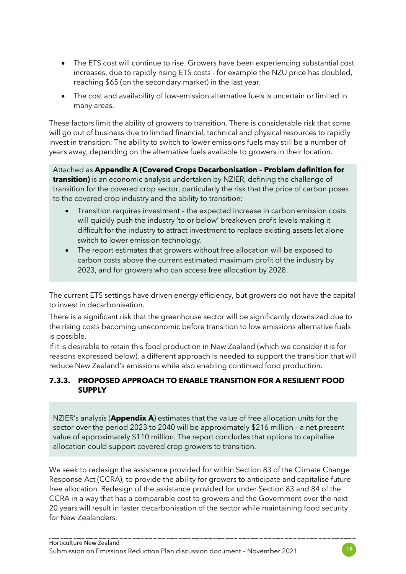- The ETS cost will continue to rise. Growers have been experiencing substantial cost increases, due to rapidly rising ETS costs - for example the NZU price has doubled, reaching \$65 (on the secondary market) in the last year.
- The cost and availability of low-emission alternative fuels is uncertain or limited in many areas.

These factors limit the ability of growers to transition. There is considerable risk that some will go out of business due to limited financial, technical and physical resources to rapidly invest in transition. The ability to switch to lower emissions fuels may still be a number of years away, depending on the alternative fuels available to growers in their location.

Attached as **Appendix A (Covered Crops Decarbonisation – Problem definition for transition)** is an economic analysis undertaken by NZIER, defining the challenge of transition for the covered crop sector, particularly the risk that the price of carbon poses to the covered crop industry and the ability to transition:

- Transition requires investment the expected increase in carbon emission costs will quickly push the industry 'to or below' breakeven profit levels making it difficult for the industry to attract investment to replace existing assets let alone switch to lower emission technology.
- The report estimates that growers without free allocation will be exposed to carbon costs above the current estimated maximum profit of the industry by 2023, and for growers who can access free allocation by 2028.

The current ETS settings have driven energy efficiency, but growers do not have the capital to invest in decarbonisation.

There is a significant risk that the greenhouse sector will be significantly downsized due to the rising costs becoming uneconomic before transition to low emissions alternative fuels is possible.

If it is desirable to retain this food production in New Zealand (which we consider it is for reasons expressed below), a different approach is needed to support the transition that will reduce New Zealand's emissions while also enabling continued food production.

#### **7.3.3. PROPOSED APPROACH TO ENABLE TRANSITION FOR A RESILIENT FOOD SUPPLY**

NZIER's analysis (**Appendix A**) estimates that the value of free allocation units for the sector over the period 2023 to 2040 will be approximately \$216 million – a net present value of approximately \$110 million. The report concludes that options to capitalise allocation could support covered crop growers to transition.

We seek to redesign the assistance provided for within Section 83 of the Climate Change Response Act (CCRA), to provide the ability for growers to anticipate and capitalise future free allocation. Redesign of the assistance provided for under Section 83 and 84 of the CCRA in a way that has a comparable cost to growers and the Government over the next 20 years will result in faster decarbonisation of the sector while maintaining food security for New Zealanders.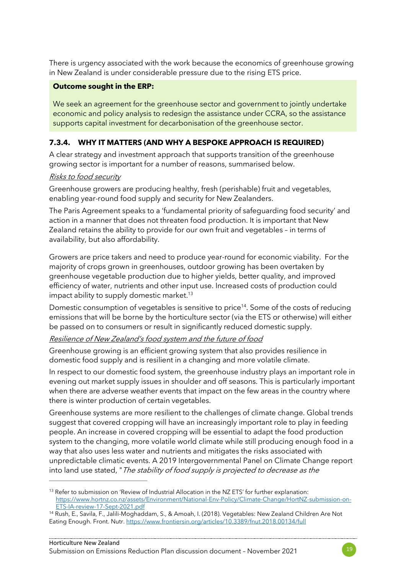There is urgency associated with the work because the economics of greenhouse growing in New Zealand is under considerable pressure due to the rising ETS price.

#### **Outcome sought in the ERP:**

We seek an agreement for the greenhouse sector and government to jointly undertake economic and policy analysis to redesign the assistance under CCRA, so the assistance supports capital investment for decarbonisation of the greenhouse sector.

#### **7.3.4. WHY IT MATTERS (AND WHY A BESPOKE APPROACH IS REQUIRED)**

A clear strategy and investment approach that supports transition of the greenhouse growing sector is important for a number of reasons, summarised below.

#### Risks to food security

Greenhouse growers are producing healthy, fresh (perishable) fruit and vegetables, enabling year-round food supply and security for New Zealanders.

The Paris Agreement speaks to a 'fundamental priority of safeguarding food security' and action in a manner that does not threaten food production. It is important that New Zealand retains the ability to provide for our own fruit and vegetables – in terms of availability, but also affordability.

Growers are price takers and need to produce year-round for economic viability. For the majority of crops grown in greenhouses, outdoor growing has been overtaken by greenhouse vegetable production due to higher yields, better quality, and improved efficiency of water, nutrients and other input use. Increased costs of production could impact ability to supply domestic market.<sup>13</sup>

Domestic consumption of vegetables is sensitive to price<sup>14</sup>. Some of the costs of reducing emissions that will be borne by the horticulture sector (via the ETS or otherwise) will either be passed on to consumers or result in significantly reduced domestic supply.

#### Resilience of New Zealand's food system and the future of food

Greenhouse growing is an efficient growing system that also provides resilience in domestic food supply and is resilient in a changing and more volatile climate.

In respect to our domestic food system, the greenhouse industry plays an important role in evening out market supply issues in shoulder and off seasons. This is particularly important when there are adverse weather events that impact on the few areas in the country where there is winter production of certain vegetables.

Greenhouse systems are more resilient to the challenges of climate change. Global trends suggest that covered cropping will have an increasingly important role to play in feeding people. An increase in covered cropping will be essential to adapt the food production system to the changing, more volatile world climate while still producing enough food in a way that also uses less water and nutrients and mitigates the risks associated with unpredictable climatic events. A 2019 Intergovernmental Panel on Climate Change report into land use stated, "The stability of food supply is projected to decrease as the

<sup>&</sup>lt;sup>13</sup> Refer to submission on 'Review of Industrial Allocation in the NZ ETS' for further explanation: [https://www.hortnz.co.nz/assets/Environment/National-Env-Policy/Climate-Change/HortNZ-submission-on-](https://www.hortnz.co.nz/assets/Environment/National-Env-Policy/Climate-Change/HortNZ-submission-on-ETS-IA-review-17-Sept-2021.pdf)[ETS-IA-review-17-Sept-2021.pdf](https://www.hortnz.co.nz/assets/Environment/National-Env-Policy/Climate-Change/HortNZ-submission-on-ETS-IA-review-17-Sept-2021.pdf)

<sup>14</sup> Rush, E., Savila, F., Jalili-Moghaddam, S., & Amoah, I. (2018). Vegetables: New Zealand Children Are Not Eating Enough. Front. Nutr.<https://www.frontiersin.org/articles/10.3389/fnut.2018.00134/full>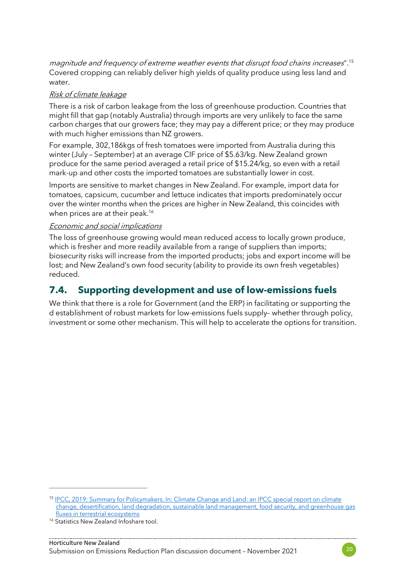magnitude and frequency of extreme weather events that disrupt food chains increases".<sup>15</sup> Covered cropping can reliably deliver high yields of quality produce using less land and water.

#### Risk of climate leakage

There is a risk of carbon leakage from the loss of greenhouse production. Countries that might fill that gap (notably Australia) through imports are very unlikely to face the same carbon charges that our growers face; they may pay a different price; or they may produce with much higher emissions than NZ growers.

For example, 302,186kgs of fresh tomatoes were imported from Australia during this winter (July – September) at an average CIF price of \$5.63/kg. New Zealand grown produce for the same period averaged a retail price of \$15.24/kg, so even with a retail mark-up and other costs the imported tomatoes are substantially lower in cost.

Imports are sensitive to market changes in New Zealand. For example, import data for tomatoes, capsicum, cucumber and lettuce indicates that imports predominately occur over the winter months when the prices are higher in New Zealand, this coincides with when prices are at their peak.<sup>16</sup>

#### Economic and social implications

The loss of greenhouse growing would mean reduced access to locally grown produce, which is fresher and more readily available from a range of suppliers than imports; biosecurity risks will increase from the imported products; jobs and export income will be lost; and New Zealand's own food security (ability to provide its own fresh vegetables) reduced.

## **7.4. Supporting development and use of low-emissions fuels**

We think that there is a role for Government (and the ERP) in facilitating or supporting the d establishment of robust markets for low-emissions fuels supply– whether through policy, investment or some other mechanism. This will help to accelerate the options for transition.



<sup>15</sup> [IPCC, 2019: Summary for Policymakers. In: Climate Change and Land: an IPCC special report on climate](https://www.ipcc.ch/srccl/chapter/summary-for-policymakers/)  [change, desertification, land degradation, sustainable land management, food security, and greenhouse gas](https://www.ipcc.ch/srccl/chapter/summary-for-policymakers/)  [fluxes in terrestrial ecosystems](https://www.ipcc.ch/srccl/chapter/summary-for-policymakers/)

<sup>&</sup>lt;sup>16</sup> Statistics New Zealand Infoshare tool.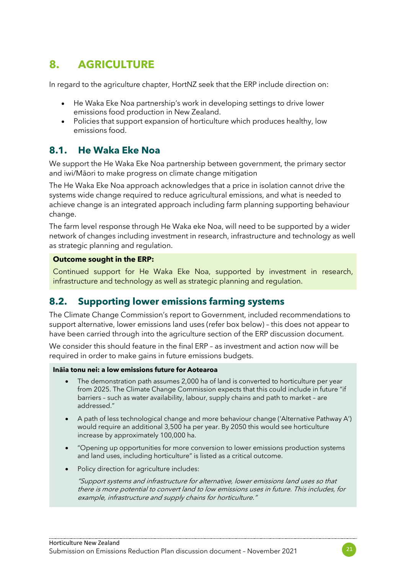## **8. AGRICULTURE**

In regard to the agriculture chapter, HortNZ seek that the ERP include direction on:

- He Waka Eke Noa partnership's work in developing settings to drive lower emissions food production in New Zealand.
- Policies that support expansion of horticulture which produces healthy, low emissions food.

## **8.1. He Waka Eke Noa**

We support the He Waka Eke Noa partnership between government, the primary sector and iwi/Māori to make progress on climate change mitigation

The He Waka Eke Noa approach acknowledges that a price in isolation cannot drive the systems wide change required to reduce agricultural emissions, and what is needed to achieve change is an integrated approach including farm planning supporting behaviour change.

The farm level response through He Waka eke Noa, will need to be supported by a wider network of changes including investment in research, infrastructure and technology as well as strategic planning and regulation.

#### **Outcome sought in the ERP:**

Continued support for He Waka Eke Noa, supported by investment in research, infrastructure and technology as well as strategic planning and regulation.

## **8.2. Supporting lower emissions farming systems**

The Climate Change Commission's report to Government, included recommendations to support alternative, lower emissions land uses (refer box below) – this does not appear to have been carried through into the agriculture section of the ERP discussion document.

We consider this should feature in the final ERP – as investment and action now will be required in order to make gains in future emissions budgets.

#### **Ināia tonu nei: a low emissions future for Aotearoa**

- The demonstration path assumes 2,000 ha of land is converted to horticulture per year from 2025. The Climate Change Commission expects that this could include in future "if barriers – such as water availability, labour, supply chains and path to market – are addressed."
- A path of less technological change and more behaviour change ('Alternative Pathway A') would require an additional 3,500 ha per year. By 2050 this would see horticulture increase by approximately 100,000 ha.
- "Opening up opportunities for more conversion to lower emissions production systems and land uses, including horticulture" is listed as a critical outcome.
- Policy direction for agriculture includes:

"Support systems and infrastructure for alternative, lower emissions land uses so that there is more potential to convert land to low emissions uses in future. This includes, for example, infrastructure and supply chains for horticulture."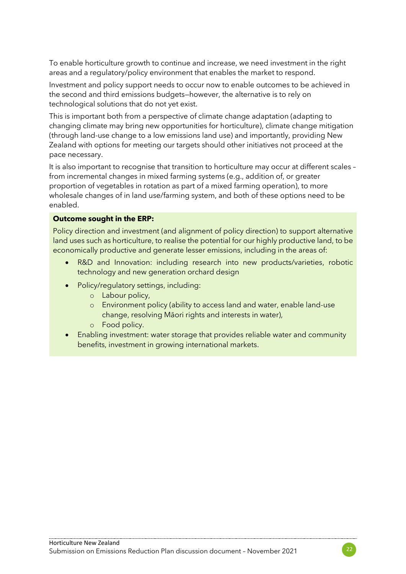To enable horticulture growth to continue and increase, we need investment in the right areas and a regulatory/policy environment that enables the market to respond.

Investment and policy support needs to occur now to enable outcomes to be achieved in the second and third emissions budgets—however, the alternative is to rely on technological solutions that do not yet exist.

This is important both from a perspective of climate change adaptation (adapting to changing climate may bring new opportunities for horticulture), climate change mitigation (through land-use change to a low emissions land use) and importantly, providing New Zealand with options for meeting our targets should other initiatives not proceed at the pace necessary.

It is also important to recognise that transition to horticulture may occur at different scales – from incremental changes in mixed farming systems (e.g., addition of, or greater proportion of vegetables in rotation as part of a mixed farming operation), to more wholesale changes of in land use/farming system, and both of these options need to be enabled.

#### **Outcome sought in the ERP:**

Policy direction and investment (and alignment of policy direction) to support alternative land uses such as horticulture, to realise the potential for our highly productive land, to be economically productive and generate lesser emissions, including in the areas of:

- R&D and Innovation: including research into new products/varieties, robotic technology and new generation orchard design
	- Policy/regulatory settings, including:
		- o Labour policy,
		- o Environment policy (ability to access land and water, enable land-use change, resolving Māori rights and interests in water),
		- o Food policy.
- Enabling investment: water storage that provides reliable water and community benefits, investment in growing international markets.

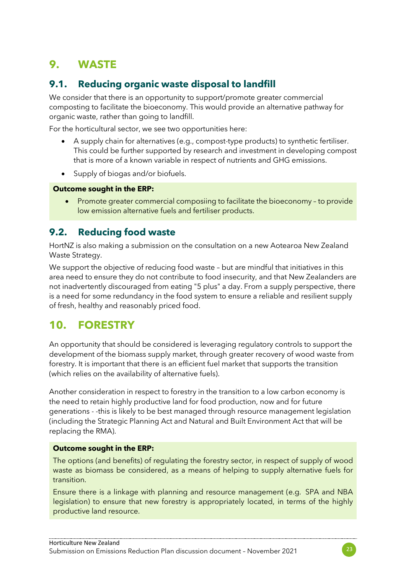# **9. WASTE**

## **9.1. Reducing organic waste disposal to landfill**

We consider that there is an opportunity to support/promote greater commercial composting to facilitate the bioeconomy. This would provide an alternative pathway for organic waste, rather than going to landfill.

For the horticultural sector, we see two opportunities here:

- A supply chain for alternatives (e.g., compost-type products) to synthetic fertiliser. This could be further supported by research and investment in developing compost that is more of a known variable in respect of nutrients and GHG emissions.
- Supply of biogas and/or biofuels.

#### **Outcome sought in the ERP:**

• Promote greater commercial composiing to facilitate the bioeconomy – to provide low emission alternative fuels and fertiliser products.

## **9.2. Reducing food waste**

HortNZ is also making a submission on the consultation on a new Aotearoa New Zealand Waste Strategy.

We support the objective of reducing food waste – but are mindful that initiatives in this area need to ensure they do not contribute to food insecurity, and that New Zealanders are not inadvertently discouraged from eating "5 plus" a day. From a supply perspective, there is a need for some redundancy in the food system to ensure a reliable and resilient supply of fresh, healthy and reasonably priced food.

## **10. FORESTRY**

An opportunity that should be considered is leveraging regulatory controls to support the development of the biomass supply market, through greater recovery of wood waste from forestry. It is important that there is an efficient fuel market that supports the transition (which relies on the availability of alternative fuels).

Another consideration in respect to forestry in the transition to a low carbon economy is the need to retain highly productive land for food production, now and for future generations - -this is likely to be best managed through resource management legislation (including the Strategic Planning Act and Natural and Built Environment Act that will be replacing the RMA).

#### **Outcome sought in the ERP:**

The options (and benefits) of regulating the forestry sector, in respect of supply of wood waste as biomass be considered, as a means of helping to supply alternative fuels for transition.

Ensure there is a linkage with planning and resource management (e.g., SPA and NBA legislation) to ensure that new forestry is appropriately located, in terms of the highly productive land resource.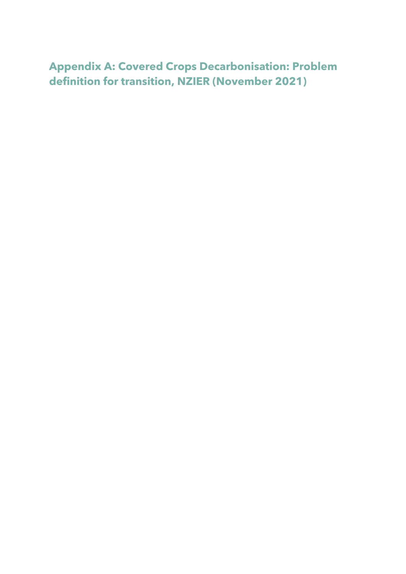**Appendix A: Covered Crops Decarbonisation: Problem definition for transition, NZIER (November 2021)**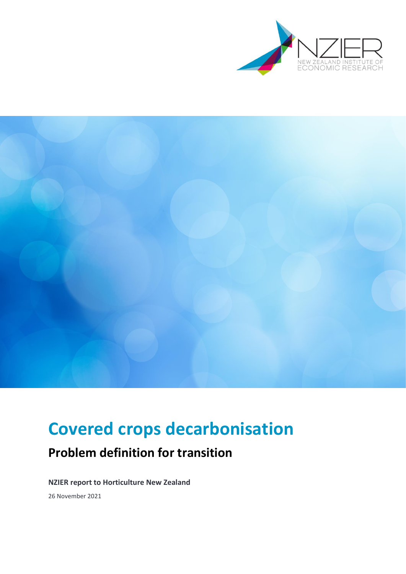



# **Covered crops decarbonisation**

# **Problem definition for transition**

**NZIER report to Horticulture New Zealand**

26 November 2021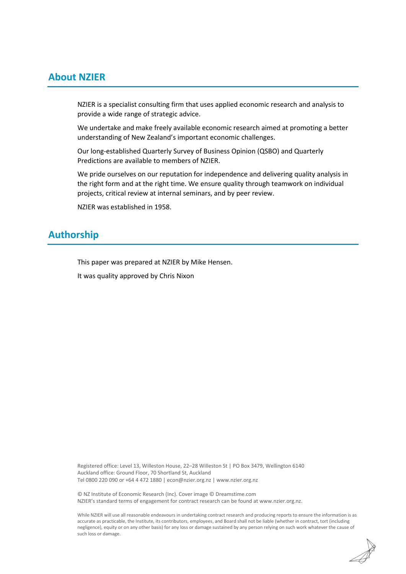#### **About NZIER**

NZIER is a specialist consulting firm that uses applied economic research and analysis to provide a wide range of strategic advice.

We undertake and make freely available economic research aimed at promoting a better understanding of New Zealand's important economic challenges.

Our long-established Quarterly Survey of Business Opinion (QSBO) and Quarterly Predictions are available to members of NZIER.

We pride ourselves on our reputation for independence and delivering quality analysis in the right form and at the right time. We ensure quality through teamwork on individual projects, critical review at internal seminars, and by peer review.

NZIER was established in 1958.

### **Authorship**

This paper was prepared at NZIER by Mike Hensen.

It was quality approved by Chris Nixon

Registered office: Level 13, Willeston House, 22–28 Willeston St | PO Box 3479, Wellington 6140 Auckland office: Ground Floor, 70 Shortland St, Auckland Tel 0800 220 090 or +64 4 472 1880 [| econ@nzier.org.nz](mailto:econ@nzier.org.nz) [| www.nzier.org.nz](http://www.nzier.org.nz/)

© NZ Institute of Economic Research (Inc). Cover image © Dreamstime.com NZIER's standard terms of engagement for contract research can be found a[t www.nzier.org.nz.](http://www.nzier.org.nz/)

While NZIER will use all reasonable endeavours in undertaking contract research and producing reports to ensure the information is as accurate as practicable, the Institute, its contributors, employees, and Board shall not be liable (whether in contract, tort (including negligence), equity or on any other basis) for any loss or damage sustained by any person relying on such work whatever the cause of such loss or damage.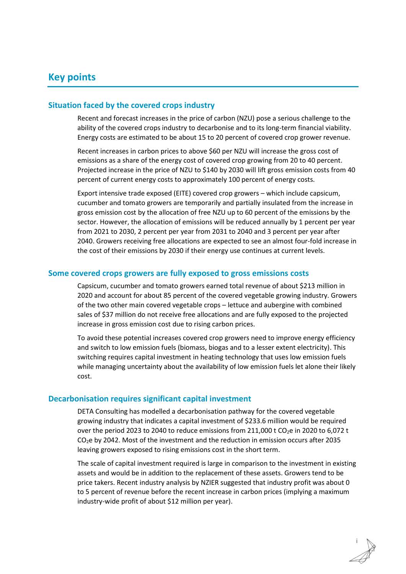#### **Key points**

#### **Situation faced by the covered crops industry**

Recent and forecast increases in the price of carbon (NZU) pose a serious challenge to the ability of the covered crops industry to decarbonise and to its long-term financial viability. Energy costs are estimated to be about 15 to 20 percent of covered crop grower revenue.

Recent increases in carbon prices to above \$60 per NZU will increase the gross cost of emissions as a share of the energy cost of covered crop growing from 20 to 40 percent. Projected increase in the price of NZU to \$140 by 2030 will lift gross emission costs from 40 percent of current energy costs to approximately 100 percent of energy costs.

Export intensive trade exposed (EITE) covered crop growers – which include capsicum, cucumber and tomato growers are temporarily and partially insulated from the increase in gross emission cost by the allocation of free NZU up to 60 percent of the emissions by the sector. However, the allocation of emissions will be reduced annually by 1 percent per year from 2021 to 2030, 2 percent per year from 2031 to 2040 and 3 percent per year after 2040. Growers receiving free allocations are expected to see an almost four-fold increase in the cost of their emissions by 2030 if their energy use continues at current levels.

#### **Some covered crops growers are fully exposed to gross emissions costs**

Capsicum, cucumber and tomato growers earned total revenue of about \$213 million in 2020 and account for about 85 percent of the covered vegetable growing industry. Growers of the two other main covered vegetable crops – lettuce and aubergine with combined sales of \$37 million do not receive free allocations and are fully exposed to the projected increase in gross emission cost due to rising carbon prices.

To avoid these potential increases covered crop growers need to improve energy efficiency and switch to low emission fuels (biomass, biogas and to a lesser extent electricity). This switching requires capital investment in heating technology that uses low emission fuels while managing uncertainty about the availability of low emission fuels let alone their likely cost.

#### **Decarbonisation requires significant capital investment**

DETA Consulting has modelled a decarbonisation pathway for the covered vegetable growing industry that indicates a capital investment of \$233.6 million would be required over the period 2023 to 2040 to reduce emissions from 211,000 t CO<sub>2</sub>e in 2020 to 6,072 t CO2e by 2042. Most of the investment and the reduction in emission occurs after 2035 leaving growers exposed to rising emissions cost in the short term.

The scale of capital investment required is large in comparison to the investment in existing assets and would be in addition to the replacement of these assets. Growers tend to be price takers. Recent industry analysis by NZIER suggested that industry profit was about 0 to 5 percent of revenue before the recent increase in carbon prices (implying a maximum industry-wide profit of about \$12 million per year).

i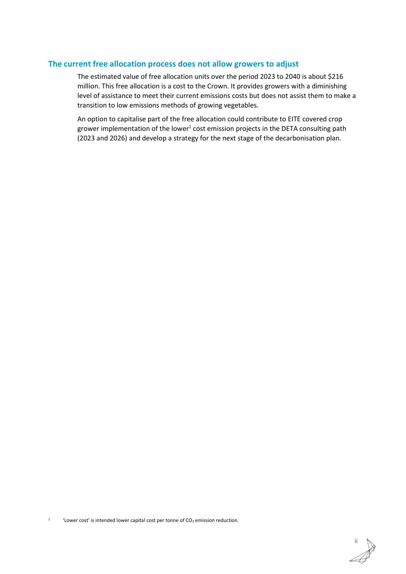#### **The current free allocation process does not allow growers to adjust**

The estimated value of free allocation units over the period 2023 to 2040 is about \$216 million. This free allocation is a cost to the Crown. It provides growers with a diminishing level of assistance to meet their current emissions costs but does not assist them to make a transition to low emissions methods of growing vegetables.

An option to capitalise part of the free allocation could contribute to EITE covered crop grower implementation of the lower<sup>1</sup> cost emission projects in the DETA consulting path (2023 and 2026) and develop a strategy for the next stage of the decarbonisation plan.

1 'Lower cost' is intended lower capital cost per tonne of  $CO<sub>2</sub>$  emission reduction.

ii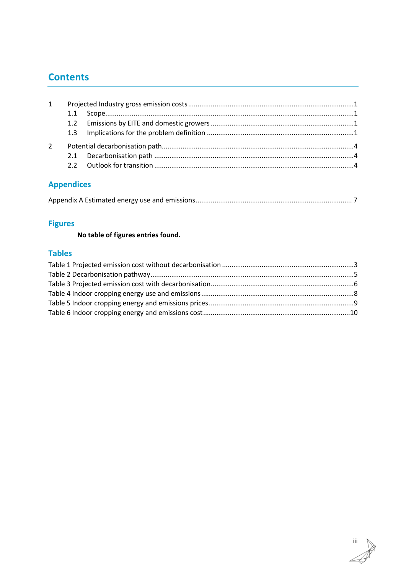## **Contents**

| 1 |  |  |
|---|--|--|
|   |  |  |
|   |  |  |
|   |  |  |
| 2 |  |  |
|   |  |  |
|   |  |  |
|   |  |  |

## **Appendices**

## **Figures**

**No table of figures entries found.**

### **Tables**

iii Ä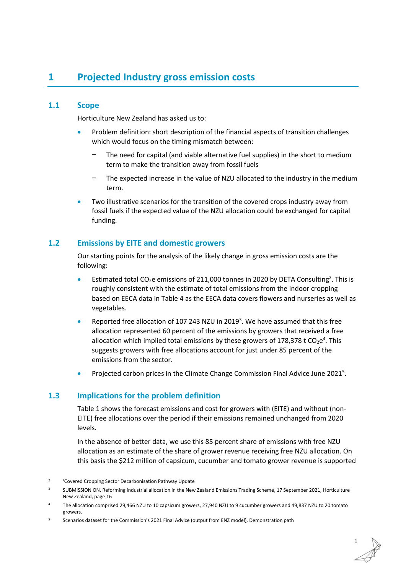## <span id="page-30-0"></span>**1 Projected Industry gross emission costs**

#### <span id="page-30-1"></span>**1.1 Scope**

Horticulture New Zealand has asked us to:

- Problem definition: short description of the financial aspects of transition challenges which would focus on the timing mismatch between:
	- The need for capital (and viable alternative fuel supplies) in the short to medium term to make the transition away from fossil fuels
	- The expected increase in the value of NZU allocated to the industry in the medium term.
- Two illustrative scenarios for the transition of the covered crops industry away from fossil fuels if the expected value of the NZU allocation could be exchanged for capital funding.

#### <span id="page-30-2"></span>**1.2 Emissions by EITE and domestic growers**

Our starting points for the analysis of the likely change in gross emission costs are the following:

- **•** Estimated total CO<sub>2</sub>e emissions of 211,000 tonnes in 2020 by DETA Consulting<sup>2</sup>. This is roughly consistent with the estimate of total emissions from the indoor cropping based on EECA data i[n Table 4](#page-37-0) as the EECA data covers flowers and nurseries as well as vegetables.
- Reported free allocation of 107 243 NZU in 2019<sup>3</sup>. We have assumed that this free allocation represented 60 percent of the emissions by growers that received a free allocation which implied total emissions by these growers of 178,378 t  $CO_2e^4$ . This suggests growers with free allocations account for just under 85 percent of the emissions from the sector.
- Projected carbon prices in the Climate Change Commission Final Advice June 2021<sup>5</sup>.

#### <span id="page-30-3"></span>**1.3 Implications for the problem definition**

[Table 1](#page-32-0) shows the forecast emissions and cost for growers with (EITE) and without (non-EITE) free allocations over the period if their emissions remained unchanged from 2020 levels.

In the absence of better data, we use this 85 percent share of emissions with free NZU allocation as an estimate of the share of grower revenue receiving free NZU allocation. On this basis the \$212 million of capsicum, cucumber and tomato grower revenue is supported

<sup>2</sup> 'Covered Cropping Sector Decarbonisation Pathway Update

<sup>3</sup> SUBMISSION ON, Reforming industrial allocation in the New Zealand Emissions Trading Scheme, 17 September 2021, Horticulture New Zealand, page 16

<sup>4</sup> The allocation comprised 29,466 NZU to 10 capsicum growers, 27,940 NZU to 9 cucumber growers and 49,837 NZU to 20 tomato growers.

<sup>&</sup>lt;sup>5</sup> Scenarios dataset for the Commission's 2021 Final Advice (output from ENZ model), Demonstration path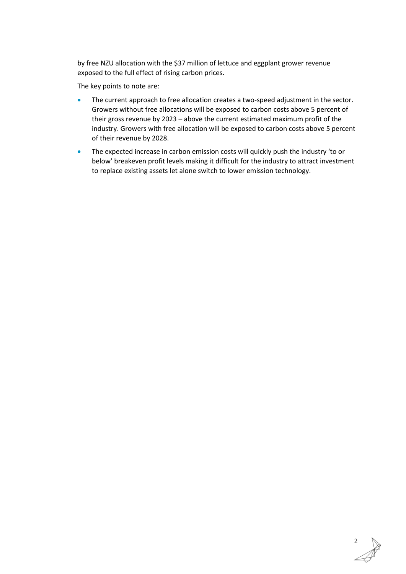by free NZU allocation with the \$37 million of lettuce and eggplant grower revenue exposed to the full effect of rising carbon prices.

The key points to note are:

- The current approach to free allocation creates a two-speed adjustment in the sector. Growers without free allocations will be exposed to carbon costs above 5 percent of their gross revenue by 2023 – above the current estimated maximum profit of the industry. Growers with free allocation will be exposed to carbon costs above 5 percent of their revenue by 2028.
- The expected increase in carbon emission costs will quickly push the industry 'to or below' breakeven profit levels making it difficult for the industry to attract investment to replace existing assets let alone switch to lower emission technology.

2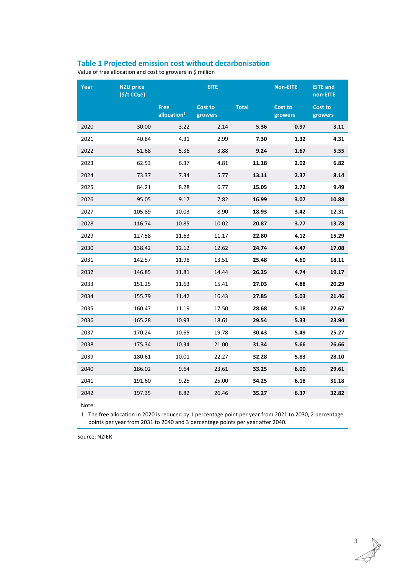#### <span id="page-32-0"></span>**Table 1 Projected emission cost without decarbonisation**

Value of free allocation and cost to growers in \$ million

| Year | <b>NZU price</b><br>$(\frac{1}{2})t CO2e)$ | <b>EITE</b>                   |                           |              | <b>Non-EITE</b>    | <b>EITE</b> and<br>non-EITE |
|------|--------------------------------------------|-------------------------------|---------------------------|--------------|--------------------|-----------------------------|
|      |                                            | <b>Free</b><br>allocation $1$ | <b>Cost to</b><br>growers | <b>Total</b> | Cost to<br>growers | <b>Cost to</b><br>growers   |
| 2020 | 30.00                                      | 3.22                          | 2.14                      | 5.36         | 0.97               | 3.11                        |
| 2021 | 40.84                                      | 4.31                          | 2.99                      | 7.30         | 1.32               | 4.31                        |
| 2022 | 51.68                                      | 5.36                          | 3.88                      | 9.24         | 1.67               | 5.55                        |
| 2023 | 62.53                                      | 6.37                          | 4.81                      | 11.18        | 2.02               | 6.82                        |
| 2024 | 73.37                                      | 7.34                          | 5.77                      | 13.11        | 2.37               | 8.14                        |
| 2025 | 84.21                                      | 8.28                          | 6.77                      | 15.05        | 2.72               | 9.49                        |
| 2026 | 95.05                                      | 9.17                          | 7.82                      | 16.99        | 3.07               | 10.88                       |
| 2027 | 105.89                                     | 10.03                         | 8.90                      | 18.93        | 3.42               | 12.31                       |
| 2028 | 116.74                                     | 10.85                         | 10.02                     | 20.87        | 3.77               | 13.78                       |
| 2029 | 127.58                                     | 11.63                         | 11.17                     | 22.80        | 4.12               | 15.29                       |
| 2030 | 138.42                                     | 12.12                         | 12.62                     | 24.74        | 4.47               | 17.08                       |
| 2031 | 142.57                                     | 11.98                         | 13.51                     | 25.48        | 4.60               | 18.11                       |
| 2032 | 146.85                                     | 11.81                         | 14.44                     | 26.25        | 4.74               | 19.17                       |
| 2033 | 151.25                                     | 11.63                         | 15.41                     | 27.03        | 4.88               | 20.29                       |
| 2034 | 155.79                                     | 11.42                         | 16.43                     | 27.85        | 5.03               | 21.46                       |
| 2035 | 160.47                                     | 11.19                         | 17.50                     | 28.68        | 5.18               | 22.67                       |
| 2036 | 165.28                                     | 10.93                         | 18.61                     | 29.54        | 5.33               | 23.94                       |
| 2037 | 170.24                                     | 10.65                         | 19.78                     | 30.43        | 5.49               | 25.27                       |
| 2038 | 175.34                                     | 10.34                         | 21.00                     | 31.34        | 5.66               | 26.66                       |
| 2039 | 180.61                                     | 10.01                         | 22.27                     | 32.28        | 5.83               | 28.10                       |
| 2040 | 186.02                                     | 9.64                          | 23.61                     | 33.25        | 6.00               | 29.61                       |
| 2041 | 191.60                                     | 9.25                          | 25.00                     | 34.25        | 6.18               | 31.18                       |
| 2042 | 197.35                                     | 8.82                          | 26.46                     | 35.27        | 6.37               | 32.82                       |

Note:

1 The free allocation in 2020 is reduced by 1 percentage point per year from 2021 to 2030, 2 percentage points per year from 2031 to 2040 and 3 percentage points per year after 2040.

Source: NZIER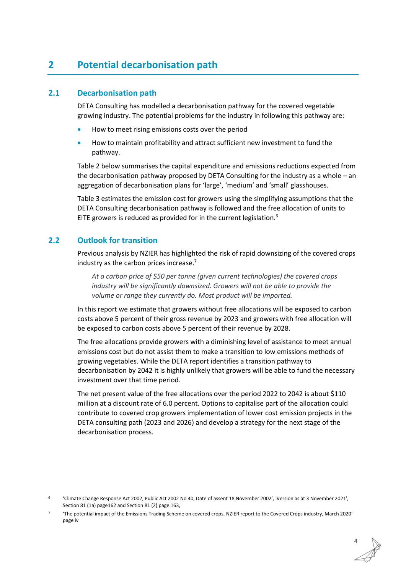## <span id="page-33-0"></span>**2 Potential decarbonisation path**

#### <span id="page-33-1"></span>**2.1 Decarbonisation path**

DETA Consulting has modelled a decarbonisation pathway for the covered vegetable growing industry. The potential problems for the industry in following this pathway are:

- How to meet rising emissions costs over the period
- How to maintain profitability and attract sufficient new investment to fund the pathway.

[Table 2](#page-34-0) below summarises the capital expenditure and emissions reductions expected from the decarbonisation pathway proposed by DETA Consulting for the industry as a whole – an aggregation of decarbonisation plans for 'large', 'medium' and 'small' glasshouses.

[Table 3](#page-35-0) estimates the emission cost for growers using the simplifying assumptions that the DETA Consulting decarbonisation pathway is followed and the free allocation of units to EITE growers is reduced as provided for in the current legislation.<sup>6</sup>

#### <span id="page-33-2"></span>**2.2 Outlook for transition**

Previous analysis by NZIER has highlighted the risk of rapid downsizing of the covered crops industry as the carbon prices increase.<sup>7</sup>

*At a carbon price of \$50 per tonne (given current technologies) the covered crops industry will be significantly downsized. Growers will not be able to provide the volume or range they currently do. Most product will be imported.*

In this report we estimate that growers without free allocations will be exposed to carbon costs above 5 percent of their gross revenue by 2023 and growers with free allocation will be exposed to carbon costs above 5 percent of their revenue by 2028.

The free allocations provide growers with a diminishing level of assistance to meet annual emissions cost but do not assist them to make a transition to low emissions methods of growing vegetables. While the DETA report identifies a transition pathway to decarbonisation by 2042 it is highly unlikely that growers will be able to fund the necessary investment over that time period.

The net present value of the free allocations over the period 2022 to 2042 is about \$110 million at a discount rate of 6.0 percent. Options to capitalise part of the allocation could contribute to covered crop growers implementation of lower cost emission projects in the DETA consulting path (2023 and 2026) and develop a strategy for the next stage of the decarbonisation process.

4

<sup>6</sup> 'Climate Change Response Act 2002, Public Act 2002 No 40, Date of assent 18 November 2002', 'Version as at 3 November 2021', Section 81 (1a) page162 and Section 81 (2) page 163,

<sup>7</sup> 'The potential impact of the Emissions Trading Scheme on covered crops, NZIER report to the Covered Crops industry, March 2020' page iv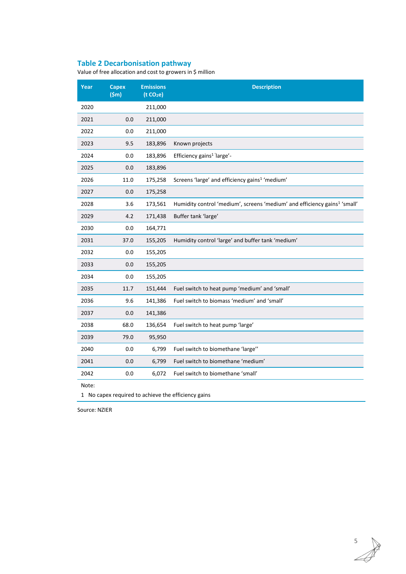#### <span id="page-34-0"></span>**Table 2 Decarbonisation pathway**

Value of free allocation and cost to growers in \$ million

| Year  | <b>Capex</b><br>(5m) | <b>Emissions</b><br>(t CO <sub>2</sub> e) | <b>Description</b>                                                                    |
|-------|----------------------|-------------------------------------------|---------------------------------------------------------------------------------------|
| 2020  |                      | 211,000                                   |                                                                                       |
| 2021  | 0.0                  | 211,000                                   |                                                                                       |
| 2022  | 0.0                  | 211,000                                   |                                                                                       |
| 2023  | 9.5                  | 183,896                                   | Known projects                                                                        |
| 2024  | 0.0                  | 183,896                                   | Efficiency gains <sup>1 '</sup> large'-                                               |
| 2025  | 0.0                  | 183,896                                   |                                                                                       |
| 2026  | 11.0                 | 175,258                                   | Screens 'large' and efficiency gains <sup>1</sup> 'medium'                            |
| 2027  | 0.0                  | 175,258                                   |                                                                                       |
| 2028  | 3.6                  | 173,561                                   | Humidity control 'medium', screens 'medium' and efficiency gains <sup>1</sup> 'small' |
| 2029  | 4.2                  | 171,438                                   | Buffer tank 'large'                                                                   |
| 2030  | 0.0                  | 164,771                                   |                                                                                       |
| 2031  | 37.0                 | 155,205                                   | Humidity control 'large' and buffer tank 'medium'                                     |
| 2032  | 0.0                  | 155,205                                   |                                                                                       |
| 2033  | 0.0                  | 155,205                                   |                                                                                       |
| 2034  | 0.0                  | 155,205                                   |                                                                                       |
| 2035  | 11.7                 | 151,444                                   | Fuel switch to heat pump 'medium' and 'small'                                         |
| 2036  | 9.6                  | 141,386                                   | Fuel switch to biomass 'medium' and 'small'                                           |
| 2037  | 0.0                  | 141,386                                   |                                                                                       |
| 2038  | 68.0                 | 136,654                                   | Fuel switch to heat pump 'large'                                                      |
| 2039  | 79.0                 | 95,950                                    |                                                                                       |
| 2040  | 0.0                  | 6,799                                     | Fuel switch to biomethane 'large"                                                     |
| 2041  | 0.0                  | 6,799                                     | Fuel switch to biomethane 'medium'                                                    |
| 2042  | 0.0                  | 6,072                                     | Fuel switch to biomethane 'small'                                                     |
| Note: |                      |                                           |                                                                                       |

No capex required to achieve the efficiency gains

Source: NZIER

 $\overrightarrow{a}$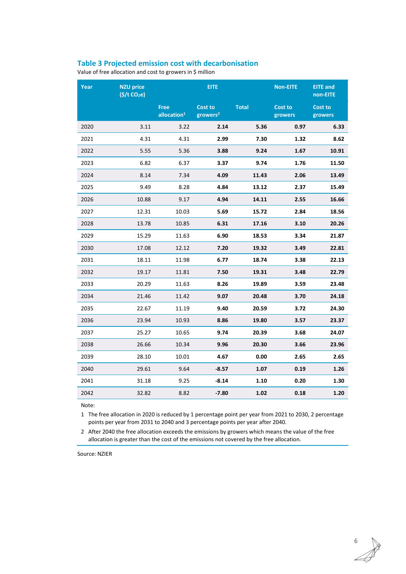#### <span id="page-35-0"></span>**Table 3 Projected emission cost with decarbonisation**

Value of free allocation and cost to growers in \$ million

| Year | <b>NZU price</b><br>$($ \$/t CO <sub>2</sub> e) | <b>EITE</b>                            |                                        |              | <b>Non-EITE</b>           | <b>EITE</b> and<br>non-EITE |
|------|-------------------------------------------------|----------------------------------------|----------------------------------------|--------------|---------------------------|-----------------------------|
|      |                                                 | <b>Free</b><br>allocation <sup>1</sup> | <b>Cost to</b><br>growers <sup>2</sup> | <b>Total</b> | <b>Cost to</b><br>growers | <b>Cost to</b><br>growers   |
| 2020 | 3.11                                            | 3.22                                   | 2.14                                   | 5.36         | 0.97                      | 6.33                        |
| 2021 | 4.31                                            | 4.31                                   | 2.99                                   | 7.30         | 1.32                      | 8.62                        |
| 2022 | 5.55                                            | 5.36                                   | 3.88                                   | 9.24         | 1.67                      | 10.91                       |
| 2023 | 6.82                                            | 6.37                                   | 3.37                                   | 9.74         | 1.76                      | 11.50                       |
| 2024 | 8.14                                            | 7.34                                   | 4.09                                   | 11.43        | 2.06                      | 13.49                       |
| 2025 | 9.49                                            | 8.28                                   | 4.84                                   | 13.12        | 2.37                      | 15.49                       |
| 2026 | 10.88                                           | 9.17                                   | 4.94                                   | 14.11        | 2.55                      | 16.66                       |
| 2027 | 12.31                                           | 10.03                                  | 5.69                                   | 15.72        | 2.84                      | 18.56                       |
| 2028 | 13.78                                           | 10.85                                  | 6.31                                   | 17.16        | 3.10                      | 20.26                       |
| 2029 | 15.29                                           | 11.63                                  | 6.90                                   | 18.53        | 3.34                      | 21.87                       |
| 2030 | 17.08                                           | 12.12                                  | 7.20                                   | 19.32        | 3.49                      | 22.81                       |
| 2031 | 18.11                                           | 11.98                                  | 6.77                                   | 18.74        | 3.38                      | 22.13                       |
| 2032 | 19.17                                           | 11.81                                  | 7.50                                   | 19.31        | 3.48                      | 22.79                       |
| 2033 | 20.29                                           | 11.63                                  | 8.26                                   | 19.89        | 3.59                      | 23.48                       |
| 2034 | 21.46                                           | 11.42                                  | 9.07                                   | 20.48        | 3.70                      | 24.18                       |
| 2035 | 22.67                                           | 11.19                                  | 9.40                                   | 20.59        | 3.72                      | 24.30                       |
| 2036 | 23.94                                           | 10.93                                  | 8.86                                   | 19.80        | 3.57                      | 23.37                       |
| 2037 | 25.27                                           | 10.65                                  | 9.74                                   | 20.39        | 3.68                      | 24.07                       |
| 2038 | 26.66                                           | 10.34                                  | 9.96                                   | 20.30        | 3.66                      | 23.96                       |
| 2039 | 28.10                                           | 10.01                                  | 4.67                                   | 0.00         | 2.65                      | 2.65                        |
| 2040 | 29.61                                           | 9.64                                   | $-8.57$                                | 1.07         | 0.19                      | 1.26                        |
| 2041 | 31.18                                           | 9.25                                   | $-8.14$                                | 1.10         | 0.20                      | 1.30                        |
| 2042 | 32.82                                           | 8.82                                   | $-7.80$                                | 1.02         | 0.18                      | 1.20                        |

Note:

1 The free allocation in 2020 is reduced by 1 percentage point per year from 2021 to 2030, 2 percentage points per year from 2031 to 2040 and 3 percentage points per year after 2040.

2 After 2040 the free allocation exceeds the emissions by growers which means the value of the free allocation is greater than the cost of the emissions not covered by the free allocation.

Source: NZIER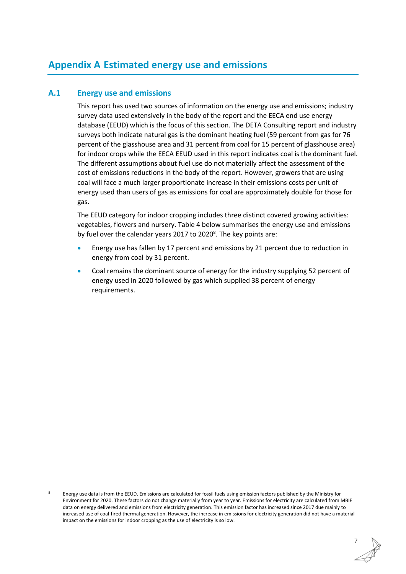## <span id="page-36-0"></span>**Appendix A Estimated energy use and emissions**

#### **A.1 Energy use and emissions**

This report has used two sources of information on the energy use and emissions; industry survey data used extensively in the body of the report and the EECA end use energy database (EEUD) which is the focus of this section. The DETA Consulting report and industry surveys both indicate natural gas is the dominant heating fuel (59 percent from gas for 76 percent of the glasshouse area and 31 percent from coal for 15 percent of glasshouse area) for indoor crops while the EECA EEUD used in this report indicates coal is the dominant fuel. The different assumptions about fuel use do not materially affect the assessment of the cost of emissions reductions in the body of the report. However, growers that are using coal will face a much larger proportionate increase in their emissions costs per unit of energy used than users of gas as emissions for coal are approximately double for those for gas.

The EEUD category for indoor cropping includes three distinct covered growing activities: vegetables, flowers and nursery. [Table 4](#page-37-0) below summarises the energy use and emissions by fuel over the calendar years 2017 to 2020<sup>8</sup>. The key points are:

- Energy use has fallen by 17 percent and emissions by 21 percent due to reduction in energy from coal by 31 percent.
- Coal remains the dominant source of energy for the industry supplying 52 percent of energy used in 2020 followed by gas which supplied 38 percent of energy requirements.

<sup>8</sup> Energy use data is from the EEUD. Emissions are calculated for fossil fuels using emission factors published by the Ministry for Environment for 2020. These factors do not change materially from year to year. Emissions for electricity are calculated from MBIE data on energy delivered and emissions from electricity generation. This emission factor has increased since 2017 due mainly to increased use of coal-fired thermal generation. However, the increase in emissions for electricity generation did not have a material impact on the emissions for indoor cropping as the use of electricity is so low.

7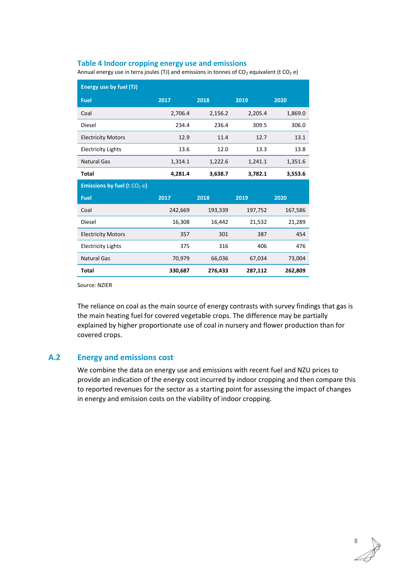#### <span id="page-37-0"></span>**Table 4 Indoor cropping energy use and emissions**

Annual energy use in terra joules (TJ) and emissions in tonnes of  $CO_2$  equivalent (t  $CO_2$  e)

| Energy use by fuel (TJ)         |         |         |         |         |  |  |
|---------------------------------|---------|---------|---------|---------|--|--|
| <b>Fuel</b>                     | 2017    | 2018    | 2019    | 2020    |  |  |
| Coal                            | 2,706.4 | 2,156.2 | 2,205.4 | 1,869.0 |  |  |
| Diesel                          | 234.4   | 236.4   | 309.5   | 306.0   |  |  |
| <b>Electricity Motors</b>       | 12.9    | 11.4    | 12.7    | 13.1    |  |  |
| <b>Electricity Lights</b>       | 13.6    | 12.0    | 13.3    | 13.8    |  |  |
| <b>Natural Gas</b>              | 1,314.1 | 1,222.6 | 1,241.1 | 1,351.6 |  |  |
| <b>Total</b>                    | 4,281.4 | 3,638.7 | 3,782.1 | 3,553.6 |  |  |
|                                 |         |         |         |         |  |  |
| Emissions by fuel ( $t CO2 e$ ) |         |         |         |         |  |  |
| <b>Fuel</b>                     | 2017    | 2018    | 2019    | 2020    |  |  |
| Coal                            | 242,669 | 193,339 | 197,752 | 167,586 |  |  |
| Diesel                          | 16,308  | 16,442  | 21,532  | 21,289  |  |  |
| <b>Electricity Motors</b>       | 357     | 301     | 387     | 454     |  |  |
| <b>Electricity Lights</b>       | 375     | 316     | 406     | 476     |  |  |
| <b>Natural Gas</b>              | 70,979  | 66,036  | 67,034  | 73,004  |  |  |

Source: NZIER

The reliance on coal as the main source of energy contrasts with survey findings that gas is the main heating fuel for covered vegetable crops. The difference may be partially explained by higher proportionate use of coal in nursery and flower production than for covered crops.

#### **A.2 Energy and emissions cost**

We combine the data on energy use and emissions with recent fuel and NZU prices to provide an indication of the energy cost incurred by indoor cropping and then compare this to reported revenues for the sector as a starting point for assessing the impact of changes in energy and emission costs on the viability of indoor cropping.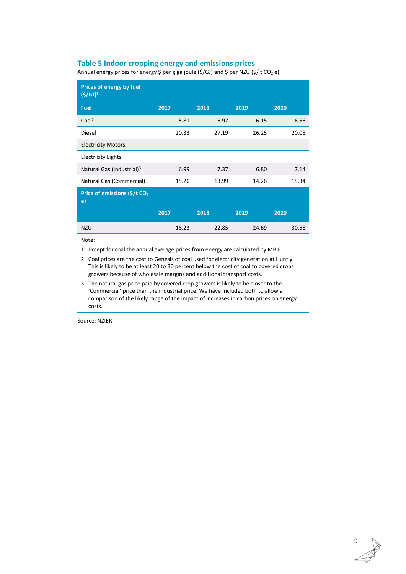#### <span id="page-38-0"></span>**Table 5 Indoor cropping energy and emissions prices**

Annual energy prices for energy \$ per giga joule (\$/GJ) and \$ per NZU (\$/ t CO<sub>2</sub> e)

| Prices of energy by fuel<br>$(5/GJ)^1$         |       |       |       |       |
|------------------------------------------------|-------|-------|-------|-------|
| <b>Fuel</b>                                    | 2017  | 2018  | 2019  | 2020  |
| Coal <sup>2</sup>                              | 5.81  | 5.97  | 6.15  | 6.56  |
| Diesel                                         | 20.33 | 27.19 | 26.25 | 20.08 |
| <b>Electricity Motors</b>                      |       |       |       |       |
| <b>Electricity Lights</b>                      |       |       |       |       |
| Natural Gas (Industrial) <sup>3</sup>          | 6.99  | 7.37  | 6.80  | 7.14  |
| Natural Gas (Commercial)                       | 15.20 | 13.99 | 14.26 | 15.34 |
| Price of emissions (\$/t CO <sub>2</sub><br>e) |       |       |       |       |
|                                                | 2017  | 2018  | 2019  | 2020  |
| <b>NZU</b>                                     | 18.23 | 22.85 | 24.69 | 30.58 |

Note:

1 Except for coal the annual average prices from energy are calculated by MBIE.

- 2 Coal prices are the cost to Genesis of coal used for electricity generation at Huntly. This is likely to be at least 20 to 30 percent below the cost of coal to covered crops growers because of wholesale margins and additional transport costs.
- 3 The natural gas price paid by covered crop growers is likely to be closer to the 'Commercial' price than the industrial price. We have included both to allow a comparison of the likely range of the impact of increases in carbon prices on energy costs.

Source: NZIER

9